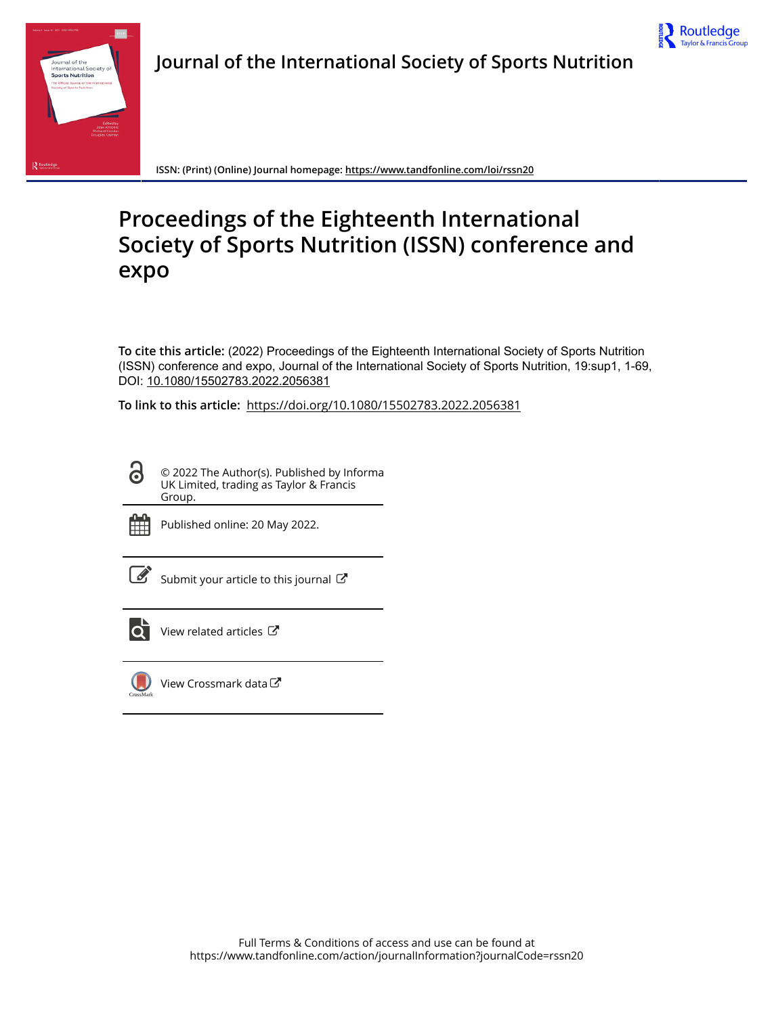



**ISSN: (Print) (Online) Journal homepage:<https://www.tandfonline.com/loi/rssn20>**

## **Proceedings of the Eighteenth International Society of Sports Nutrition (ISSN) conference and expo**

**To cite this article:** (2022) Proceedings of the Eighteenth International Society of Sports Nutrition (ISSN) conference and expo, Journal of the International Society of Sports Nutrition, 19:sup1, 1-69, DOI: [10.1080/15502783.2022.2056381](https://www.tandfonline.com/action/showCitFormats?doi=10.1080/15502783.2022.2056381)

**To link to this article:** <https://doi.org/10.1080/15502783.2022.2056381>

<u>යි</u> © 2022 The Author(s). Published by Informa UK Limited, trading as Taylor & Francis Group.



Published online: 20 May 2022.

| ۰. |
|----|

[Submit your article to this journal](https://www.tandfonline.com/action/authorSubmission?journalCode=rssn20&show=instructions)  $\mathbb{Z}$ 



[View related articles](https://www.tandfonline.com/doi/mlt/10.1080/15502783.2022.2056381) C



[View Crossmark data](http://crossmark.crossref.org/dialog/?doi=10.1080/15502783.2022.2056381&domain=pdf&date_stamp=2022-05-20)